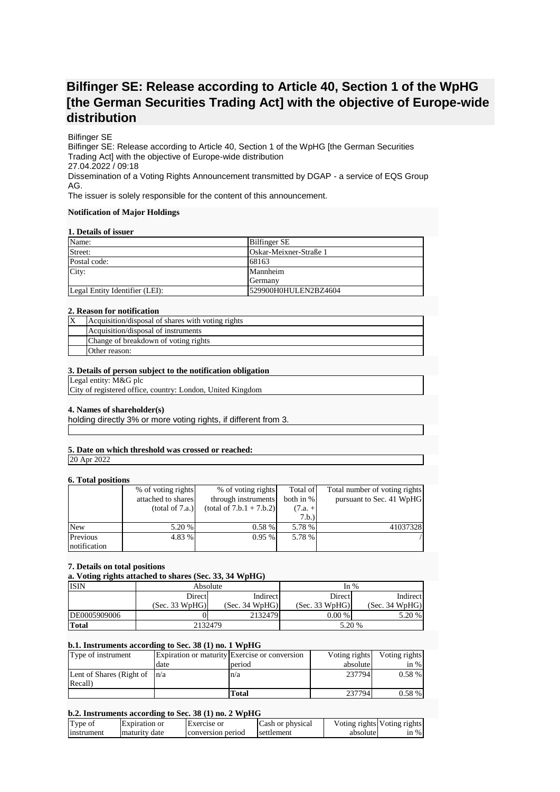# **Bilfinger SE: Release according to Article 40, Section 1 of the WpHG [the German Securities Trading Act] with the objective of Europe-wide distribution**

## Bilfinger SE

Bilfinger SE: Release according to Article 40, Section 1 of the WpHG [the German Securities Trading Act] with the objective of Europe-wide distribution 27.04.2022 / 09:18 Dissemination of a Voting Rights Announcement transmitted by DGAP - a service of EQS Group AG.

The issuer is solely responsible for the content of this announcement.

#### **Notification of Major Holdings**

#### **1. Details of issuer**

| Name:                          | <b>Bilfinger SE</b>    |
|--------------------------------|------------------------|
| Street:                        | Oskar-Meixner-Straße 1 |
| Postal code:                   | 68163                  |
| City:                          | Mannheim               |
|                                | Germany                |
| Legal Entity Identifier (LEI): | 529900H0HULEN2BZ4604   |

#### **2. Reason for notification**

| ΙX | Acquisition/disposal of shares with voting rights |
|----|---------------------------------------------------|
|    | Acquisition/disposal of instruments               |
|    | Change of breakdown of voting rights              |
|    | Other reason:                                     |

#### **3. Details of person subject to the notification obligation**

Legal entity: M&G plc

City of registered office, country: London, United Kingdom

## **4. Names of shareholder(s)**

holding directly 3% or more voting rights, if different from 3.

# **5. Date on which threshold was crossed or reached:**

20 Apr 2022

## **6. Total positions**

| $\mathbf{v}$ . Toval populacija |                    |                            |           |                               |
|---------------------------------|--------------------|----------------------------|-----------|-------------------------------|
|                                 | % of voting rights | % of voting rights         | Total of  | Total number of voting rights |
|                                 | attached to shares | through instruments        | both in % | pursuant to Sec. 41 WpHG      |
|                                 | (total of 7.a.)    | $(total of 7.b.1 + 7.b.2)$ | $(7.a. +$ |                               |
|                                 |                    |                            | 7.b.)     |                               |
| <b>New</b>                      | 5.20 %             | 0.58%                      | 5.78 %    | 41037328                      |
| Previous                        | 4.83 %             | $0.95\%$                   | 5.78 %    |                               |
| notification                    |                    |                            |           |                               |

## **7. Details on total positions**

**a. Voting rights attached to shares (Sec. 33, 34 WpHG)**

| <b>ISIN</b>  | Absolute       |                | In $%$         |                |
|--------------|----------------|----------------|----------------|----------------|
|              | Directl        | Indirect       | Direct         | Indirect       |
|              | (Sec. 33 WpHG) | (Sec. 34 WpHG) | (Sec. 33 WpHG) | (Sec. 34 WpHG) |
| DE0005909006 |                | 2132479        | $0.00\%$       | 5.20 %         |
| <b>Total</b> | 2132479        |                | 5.20 %         |                |

## **b.1. Instruments according to Sec. 38 (1) no. 1 WpHG**

| Type of instrument               |      | Expiration or maturity Exercise or conversion | Voting rights | Voting rights |
|----------------------------------|------|-----------------------------------------------|---------------|---------------|
|                                  | date | period                                        | absolute      | $\sin \%$     |
| Lent of Shares (Right of $ n/a $ |      | n/a                                           | 237794        | $0.58\%$      |
| Recall)                          |      |                                               |               |               |
|                                  |      | Total                                         | 237794        | $0.58\%$      |

## **b.2. Instruments according to Sec. 38 (1) no. 2 WpHG**

| Type of    | Expiration or | <b>Exercise</b> or | Cash or physical |          | Voting rights Voting rights |
|------------|---------------|--------------------|------------------|----------|-----------------------------|
| Instrument | maturity date | conversion period  | settlement       | absolute | $\sin \%$                   |